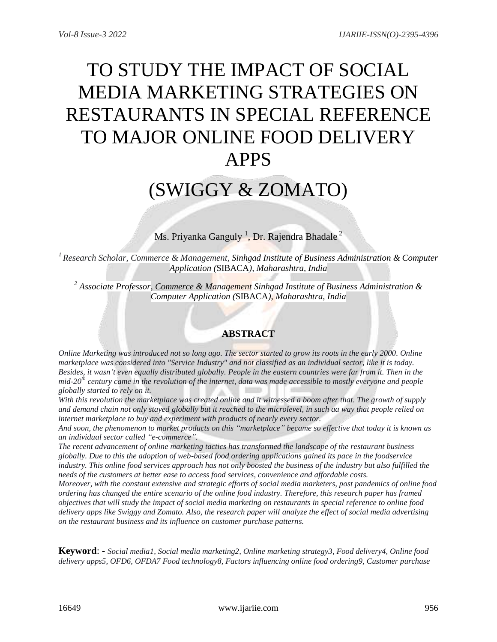# TO STUDY THE IMPACT OF SOCIAL MEDIA MARKETING STRATEGIES ON RESTAURANTS IN SPECIAL REFERENCE TO MAJOR ONLINE FOOD DELIVERY APPS

# (SWIGGY & ZOMATO)

Ms. Priyanka Ganguly  $^{1}$ , Dr. Rajendra Bhadale  $^{2}$ 

*<sup>1</sup>Research Scholar, Commerce & Management, Sinhgad Institute of Business Administration & Computer Application (*SIBACA*), Maharashtra, India*

*<sup>2</sup> Associate Professor, Commerce & Management Sinhgad Institute of Business Administration & Computer Application (*SIBACA*), Maharashtra, India*

# **ABSTRACT**

*Online Marketing was introduced not so long ago. The sector started to grow its roots in the early 2000. Online marketplace was considered into "Service Industry" and not classified as an individual sector, like it is today. Besides, it wasn't even equally distributed globally. People in the eastern countries were far from it. Then in the mid-20th century came in the revolution of the internet, data was made accessible to mostly everyone and people globally started to rely on it.*

*With this revolution the marketplace was created online and it witnessed a boom after that. The growth of supply and demand chain not only stayed globally but it reached to the microlevel, in such aa way that people relied on internet marketplace to buy and experiment with products of nearly every sector.* 

*And soon, the phenomenon to market products on this "marketplace" became so effective that today it is known as an individual sector called "e-commerce".*

*The recent advancement of online marketing tactics has transformed the landscape of the restaurant business globally. Due to this the adoption of web-based food ordering applications gained its pace in the foodservice industry. This online food services approach has not only boosted the business of the industry but also fulfilled the needs of the customers at better ease to access food services, convenience and affordable costs.*

*Moreover, with the constant extensive and strategic efforts of social media marketers, post pandemics of online food ordering has changed the entire scenario of the online food industry. Therefore, this research paper has framed objectives that will study the impact of social media marketing on restaurants in special reference to online food delivery apps like Swiggy and Zomato. Also, the research paper will analyze the effect of social media advertising on the restaurant business and its influence on customer purchase patterns.*

**Keyword**: - *Social media1, Social media marketing2, Online marketing strategy3, Food delivery4, Online food delivery apps5, OFD6, OFDA7 Food technology8, Factors influencing online food ordering9, Customer purchase*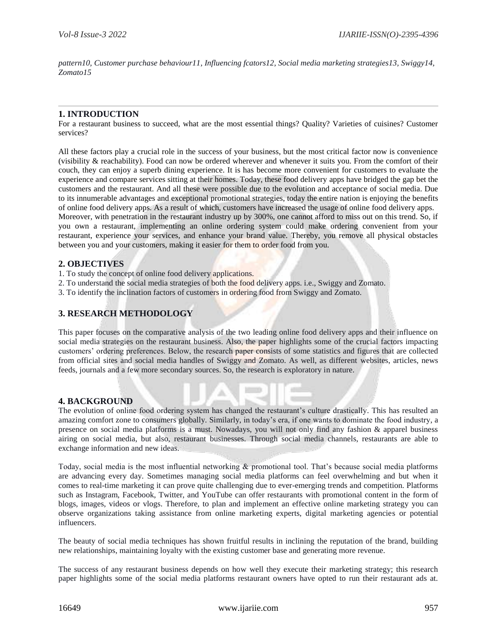*pattern10, Customer purchase behaviour11, Influencing fcators12, Social media marketing strategies13, Swiggy14, Zomato15*

## **1. INTRODUCTION**

For a restaurant business to succeed, what are the most essential things? Quality? Varieties of cuisines? Customer services?

All these factors play a crucial role in the success of your business, but the most critical factor now is convenience (visibility & reachability). Food can now be ordered wherever and whenever it suits you. From the comfort of their couch, they can enjoy a superb dining experience. It is has become more convenient for customers to evaluate the experience and compare services sitting at their homes. Today, these food delivery apps have bridged the gap bet the customers and the restaurant. And all these were possible due to the evolution and acceptance of social media. Due to its innumerable advantages and exceptional promotional strategies, today the entire nation is enjoying the benefits of online food delivery apps. As a result of which, customers have increased the usage of online food delivery apps. Moreover, with penetration in the restaurant industry up by 300%, one cannot afford to miss out on this trend. So, if

you own a restaurant, implementing an online ordering system could make ordering convenient from your restaurant, experience your services, and enhance your brand value. Thereby, you remove all physical obstacles between you and your customers, making it easier for them to order food from you.

#### **2. OBJECTIVES**

- 1. To study the concept of online food delivery applications.
- 2. To understand the social media strategies of both the food delivery apps. i.e., Swiggy and Zomato.
- 3. To identify the inclination factors of customers in ordering food from Swiggy and Zomato.

### **3. RESEARCH METHODOLOGY**

This paper focuses on the comparative analysis of the two leading online food delivery apps and their influence on social media strategies on the restaurant business. Also, the paper highlights some of the crucial factors impacting customers' ordering preferences. Below, the research paper consists of some statistics and figures that are collected from official sites and social media handles of Swiggy and Zomato. As well, as different websites, articles, news feeds, journals and a few more secondary sources. So, the research is exploratory in nature.

# **4. BACKGROUND**

The evolution of online food ordering system has changed the restaurant's culture drastically. This has resulted an amazing comfort zone to consumers globally. Similarly, in today's era, if one wants to dominate the food industry, a presence on social media platforms is a must. Nowadays, you will not only find any fashion & apparel business airing on social media, but also, restaurant businesses. Through social media channels, restaurants are able to exchange information and new ideas.

Today, social media is the most influential networking & promotional tool. That's because social media platforms are advancing every day. Sometimes managing social media platforms can feel overwhelming and but when it comes to real-time marketing it can prove quite challenging due to ever-emerging trends and competition. Platforms such as Instagram, Facebook, Twitter, and YouTube can offer restaurants with promotional content in the form of blogs, images, videos or vlogs. Therefore, to plan and implement an effective online marketing strategy you can observe organizations taking assistance from online marketing experts, digital marketing agencies or potential influencers.

The beauty of social media techniques has shown fruitful results in inclining the reputation of the brand, building new relationships, maintaining loyalty with the existing customer base and generating more revenue.

The success of any restaurant business depends on how well they execute their marketing strategy; this research paper highlights some of the social media platforms restaurant owners have opted to run their restaurant ads at.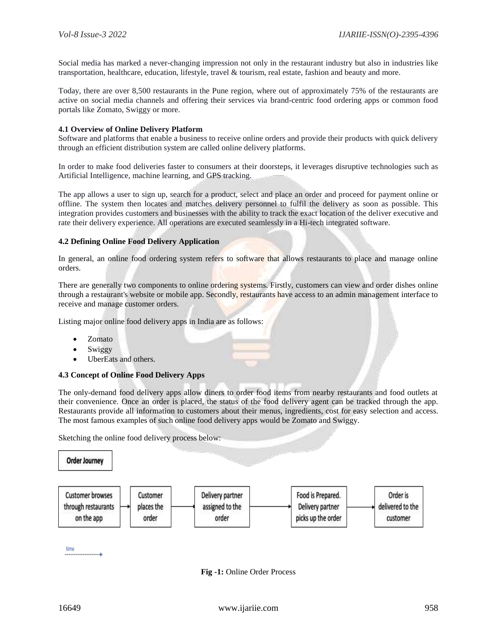Social media has marked a never-changing impression not only in the restaurant industry but also in industries like transportation, healthcare, education, lifestyle, travel & tourism, real estate, fashion and beauty and more.

Today, there are over 8,500 restaurants in the Pune region, where out of approximately 75% of the restaurants are active on social media channels and offering their services via brand-centric food ordering apps or common food portals like Zomato, Swiggy or more.

#### **4.1 Overview of Online Delivery Platform**

Software and platforms that enable a business to receive online orders and provide their products with quick delivery through an efficient distribution system are called online delivery platforms.

In order to make food deliveries faster to consumers at their doorsteps, it leverages disruptive technologies such as Artificial Intelligence, machine learning, and GPS tracking.

The app allows a user to sign up, search for a product, select and place an order and proceed for payment online or offline. The system then locates and matches delivery personnel to fulfil the delivery as soon as possible. This integration provides customers and businesses with the ability to track the exact location of the deliver executive and rate their delivery experience. All operations are executed seamlessly in a Hi-tech integrated software.

#### **4.2 Defining Online Food Delivery Application**

In general, an online food ordering system refers to software that allows restaurants to place and manage online orders.

There are generally two components to online ordering systems. Firstly, customers can view and order dishes online through a restaurant's website or mobile app. Secondly, restaurants have access to an admin management interface to receive and manage customer orders.

Listing major online food delivery apps in India are as follows:

- Zomato
- Swiggy
- UberEats and others.

#### **4.3 Concept of Online Food Delivery Apps**

The only-demand food delivery apps allow diners to order food items from nearby restaurants and food outlets at their convenience. Once an order is placed, the status of the food delivery agent can be tracked through the app. Restaurants provide all information to customers about their menus, ingredients, cost for easy selection and access. The most famous examples of such online food delivery apps would be Zomato and Swiggy.

Sketching the online food delivery process below:



**Fig -1:** Online Order Process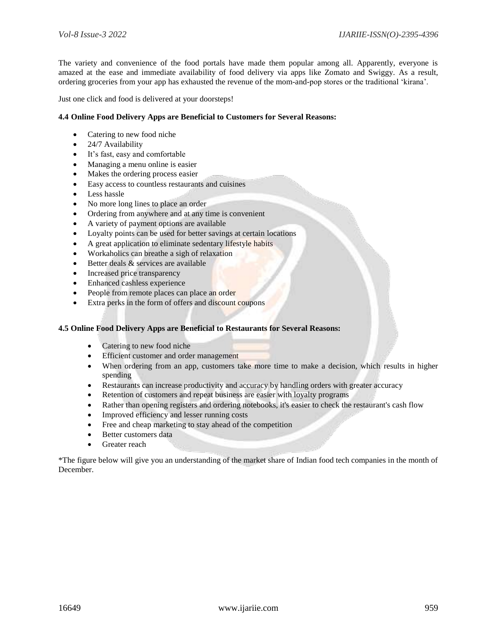The variety and convenience of the food portals have made them popular among all. Apparently, everyone is amazed at the ease and immediate availability of food delivery via apps like Zomato and Swiggy. As a result, ordering groceries from your app has exhausted the revenue of the mom-and-pop stores or the traditional 'kirana'.

Just one click and food is delivered at your doorsteps!

#### **4.4 Online Food Delivery Apps are Beneficial to Customers for Several Reasons:**

- Catering to new food niche
- 24/7 Availability
- It's fast, easy and comfortable
- Managing a menu online is easier
- Makes the ordering process easier
- Easy access to countless restaurants and cuisines
- $\bullet$  Less hassle
- No more long lines to place an order
- Ordering from anywhere and at any time is convenient
- A variety of payment options are available
- Loyalty points can be used for better savings at certain locations
- A great application to eliminate sedentary lifestyle habits
- Workaholics can breathe a sigh of relaxation
- Better deals & services are available
- Increased price transparency
- Enhanced cashless experience
- People from remote places can place an order
- Extra perks in the form of offers and discount coupons

### **4.5 Online Food Delivery Apps are Beneficial to Restaurants for Several Reasons:**

- Catering to new food niche
- Efficient customer and order management
- When ordering from an app, customers take more time to make a decision, which results in higher spending
- Restaurants can increase productivity and accuracy by handling orders with greater accuracy
- Retention of customers and repeat business are easier with loyalty programs
- Rather than opening registers and ordering notebooks, it's easier to check the restaurant's cash flow
- Improved efficiency and lesser running costs
- Free and cheap marketing to stay ahead of the competition
- Better customers data
- Greater reach

\*The figure below will give you an understanding of the market share of Indian food tech companies in the month of December.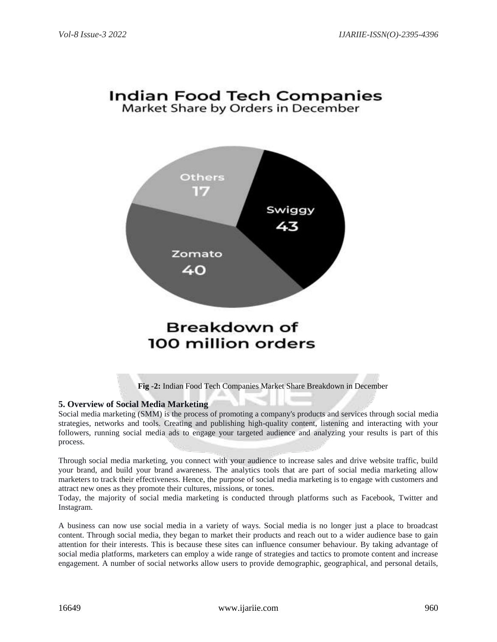# **Indian Food Tech Companies** Market Share by Orders in December



#### **Fig -2:** Indian Food Tech Companies Market Share Breakdown in December

# **5. Overview of Social Media Marketing**

Social media marketing (SMM) is the process of promoting a company's products and services through social media strategies, networks and tools. Creating and publishing high-quality content, listening and interacting with your followers, running social media ads to engage your targeted audience and analyzing your results is part of this process.

Through social media marketing, you connect with your audience to increase sales and drive website traffic, build your brand, and build your brand awareness. The analytics tools that are part of social media marketing allow marketers to track their effectiveness. Hence, the purpose of social media marketing is to engage with customers and attract new ones as they promote their cultures, missions, or tones.

Today, the majority of social media marketing is conducted through platforms such as Facebook, Twitter and Instagram.

A business can now use social media in a variety of ways. Social media is no longer just a place to broadcast content. Through social media, they began to market their products and reach out to a wider audience base to gain attention for their interests. This is because these sites can influence consumer behaviour. By taking advantage of social media platforms, marketers can employ a wide range of strategies and tactics to promote content and increase engagement. A number of social networks allow users to provide demographic, geographical, and personal details,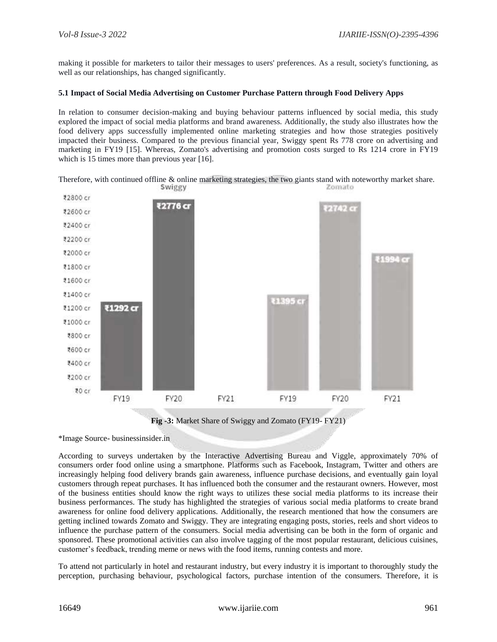making it possible for marketers to tailor their messages to users' preferences. As a result, society's functioning, as well as our relationships, has changed significantly.

#### **5.1 Impact of Social Media Advertising on Customer Purchase Pattern through Food Delivery Apps**

In relation to consumer decision-making and buying behaviour patterns influenced by social media, this study explored the impact of social media platforms and brand awareness. Additionally, the study also illustrates how the food delivery apps successfully implemented online marketing strategies and how those strategies positively impacted their business. Compared to the previous financial year, Swiggy spent Rs 778 crore on advertising and marketing in FY19 [15]. Whereas, Zomato's advertising and promotion costs surged to Rs 1214 crore in FY19 which is 15 times more than previous year [16].

Therefore, with continued offline & online marketing strategies, the two giants stand with noteworthy market share.



**Fig -3:** Market Share of Swiggy and Zomato (FY19- FY21)

\*Image Source- businessinsider.in

According to surveys undertaken by the Interactive Advertising Bureau and Viggle, approximately 70% of consumers order food online using a smartphone. Platforms such as Facebook, Instagram, Twitter and others are increasingly helping food delivery brands gain awareness, influence purchase decisions, and eventually gain loyal customers through repeat purchases. It has influenced both the consumer and the restaurant owners. However, most of the business entities should know the right ways to utilizes these social media platforms to its increase their business performances. The study has highlighted the strategies of various social media platforms to create brand awareness for online food delivery applications. Additionally, the research mentioned that how the consumers are getting inclined towards Zomato and Swiggy. They are integrating engaging posts, stories, reels and short videos to influence the purchase pattern of the consumers. Social media advertising can be both in the form of organic and sponsored. These promotional activities can also involve tagging of the most popular restaurant, delicious cuisines, customer's feedback, trending meme or news with the food items, running contests and more.

To attend not particularly in hotel and restaurant industry, but every industry it is important to thoroughly study the perception, purchasing behaviour, psychological factors, purchase intention of the consumers. Therefore, it is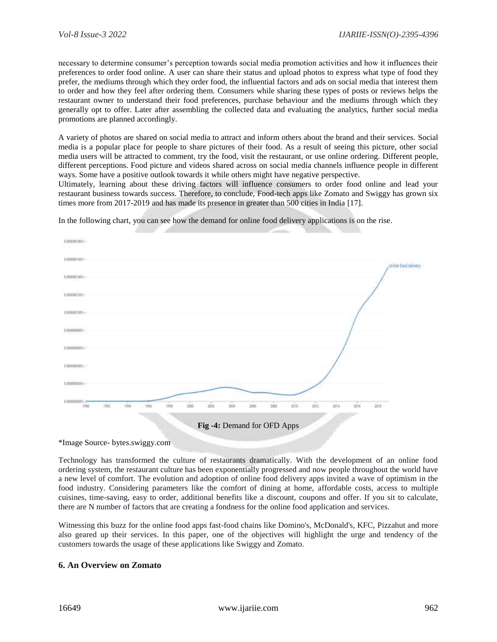necessary to determine consumer's perception towards social media promotion activities and how it influences their preferences to order food online. A user can share their status and upload photos to express what type of food they prefer, the mediums through which they order food, the influential factors and ads on social media that interest them to order and how they feel after ordering them. Consumers while sharing these types of posts or reviews helps the restaurant owner to understand their food preferences, purchase behaviour and the mediums through which they generally opt to offer. Later after assembling the collected data and evaluating the analytics, further social media promotions are planned accordingly.

A variety of photos are shared on social media to attract and inform others about the brand and their services. Social media is a popular place for people to share pictures of their food. As a result of seeing this picture, other social media users will be attracted to comment, try the food, visit the restaurant, or use online ordering. Different people, different perceptions. Food picture and videos shared across on social media channels influence people in different ways. Some have a positive outlook towards it while others might have negative perspective.

Ultimately, learning about these driving factors will influence consumers to order food online and lead your restaurant business towards success. Therefore, to conclude, Food-tech apps like Zomato and Swiggy has grown six times more from 2017-2019 and has made its presence in greater than 500 cities in India [17].



In the following chart, you can see how the demand for online food delivery applications is on the rise.

\*Image Source- bytes.swiggy.com

Technology has transformed the culture of restaurants dramatically. With the development of an online food ordering system, the restaurant culture has been exponentially progressed and now people throughout the world have a new level of comfort. The evolution and adoption of online food delivery apps invited a wave of optimism in the food industry. Considering parameters like the comfort of dining at home, affordable costs, access to multiple cuisines, time-saving, easy to order, additional benefits like a discount, coupons and offer. If you sit to calculate, there are N number of factors that are creating a fondness for the online food application and services.

Witnessing this buzz for the online food apps fast-food chains like Domino's, McDonald's, KFC, Pizzahut and more also geared up their services. In this paper, one of the objectives will highlight the urge and tendency of the customers towards the usage of these applications like Swiggy and Zomato.

# **6. An Overview on Zomato**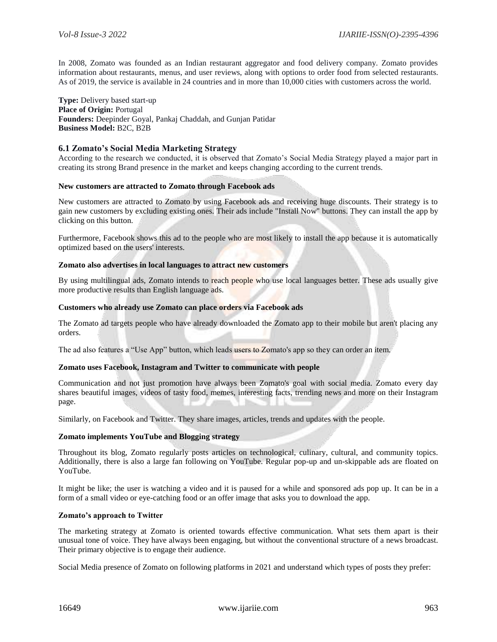In 2008, Zomato was founded as an Indian restaurant aggregator and food delivery company. Zomato provides information about restaurants, menus, and user reviews, along with options to order food from selected restaurants. As of 2019, the service is available in 24 countries and in more than 10,000 cities with customers across the world.

**Type:** Delivery based start-up **Place of Origin:** Portugal **Founders:** Deepinder Goyal, Pankaj Chaddah, and Gunjan Patidar **Business Model:** B2C, B2B

#### **6.1 Zomato's Social Media Marketing Strategy**

According to the research we conducted, it is observed that Zomato's Social Media Strategy played a major part in creating its strong Brand presence in the market and keeps changing according to the current trends.

#### **New customers are attracted to Zomato through Facebook ads**

New customers are attracted to Zomato by using Facebook ads and receiving huge discounts. Their strategy is to gain new customers by excluding existing ones. Their ads include "Install Now" buttons. They can install the app by clicking on this button.

Furthermore, Facebook shows this ad to the people who are most likely to install the app because it is automatically optimized based on the users' interests.

#### **Zomato also advertises in local languages to attract new customers**

By using multilingual ads, Zomato intends to reach people who use local languages better. These ads usually give more productive results than English language ads.

#### **Customers who already use Zomato can place orders via Facebook ads**

The Zomato ad targets people who have already downloaded the Zomato app to their mobile but aren't placing any orders.

The ad also features a "Use App" button, which leads users to Zomato's app so they can order an item.

#### **Zomato uses Facebook, Instagram and Twitter to communicate with people**

Communication and not just promotion have always been Zomato's goal with social media. Zomato every day shares beautiful images, videos of tasty food, memes, interesting facts, trending news and more on their Instagram page.

Similarly, on Facebook and Twitter. They share images, articles, trends and updates with the people.

#### **Zomato implements YouTube and Blogging strategy**

Throughout its blog, Zomato regularly posts articles on technological, culinary, cultural, and community topics. Additionally, there is also a large fan following on YouTube. Regular pop-up and un-skippable ads are floated on YouTube.

It might be like; the user is watching a video and it is paused for a while and sponsored ads pop up. It can be in a form of a small video or eye-catching food or an offer image that asks you to download the app.

#### **Zomato's approach to Twitter**

The marketing strategy at Zomato is oriented towards effective communication. What sets them apart is their unusual tone of voice. They have always been engaging, but without the conventional structure of a news broadcast. Their primary objective is to engage their audience.

Social Media presence of Zomato on following platforms in 2021 and understand which types of posts they prefer: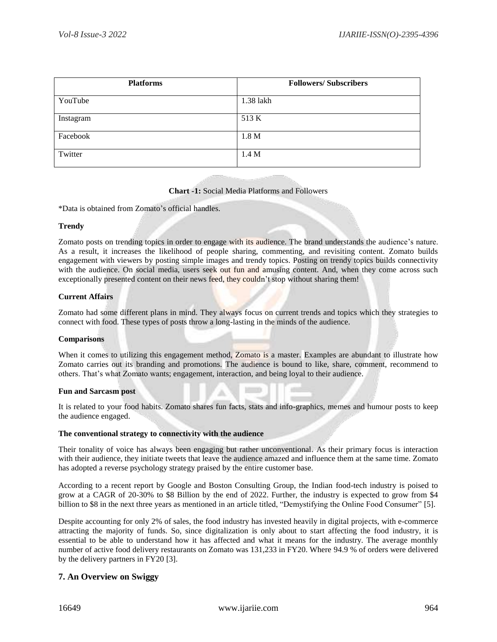| <b>Platforms</b> | <b>Followers/Subscribers</b> |
|------------------|------------------------------|
| YouTube          | 1.38 lakh                    |
| Instagram        | 513 K                        |
| Facebook         | 1.8 <sub>M</sub>             |
| Twitter          | 1.4 M                        |

#### **Chart -1:** Social Media Platforms and Followers

\*Data is obtained from Zomato's official handles.

#### **Trendy**

Zomato posts on trending topics in order to engage with its audience. The brand understands the audience's nature. As a result, it increases the likelihood of people sharing, commenting, and revisiting content. Zomato builds engagement with viewers by posting simple images and trendy topics. Posting on trendy topics builds connectivity with the audience. On social media, users seek out fun and amusing content. And, when they come across such exceptionally presented content on their news feed, they couldn't stop without sharing them!

#### **Current Affairs**

Zomato had some different plans in mind. They always focus on current trends and topics which they strategies to connect with food. These types of posts throw a long-lasting in the minds of the audience.

#### **Comparisons**

When it comes to utilizing this engagement method, Zomato is a master. Examples are abundant to illustrate how Zomato carries out its branding and promotions. The audience is bound to like, share, comment, recommend to others. That's what Zomato wants; engagement, interaction, and being loyal to their audience.

#### **Fun and Sarcasm post**

It is related to your food habits. Zomato shares fun facts, stats and info-graphics, memes and humour posts to keep the audience engaged.

#### **The conventional strategy to connectivity with the audience**

Their tonality of voice has always been engaging but rather unconventional. As their primary focus is interaction with their audience, they initiate tweets that leave the audience amazed and influence them at the same time. Zomato has adopted a reverse psychology strategy praised by the entire customer base.

According to a recent report by Google and Boston Consulting Group, the Indian food-tech industry is poised to grow at a CAGR of 20-30% to \$8 Billion by the end of 2022. Further, the industry is expected to grow from \$4 billion to \$8 in the next three years as mentioned in an article titled, "Demystifying the Online Food Consumer" [5].

Despite accounting for only 2% of sales, the food industry has invested heavily in digital projects, with e-commerce attracting the majority of funds. So, since digitalization is only about to start affecting the food industry, it is essential to be able to understand how it has affected and what it means for the industry. The average monthly number of active food delivery restaurants on Zomato was 131,233 in FY20. Where 94.9 % of orders were delivered by the delivery partners in FY20 [3].

# **7. An Overview on Swiggy**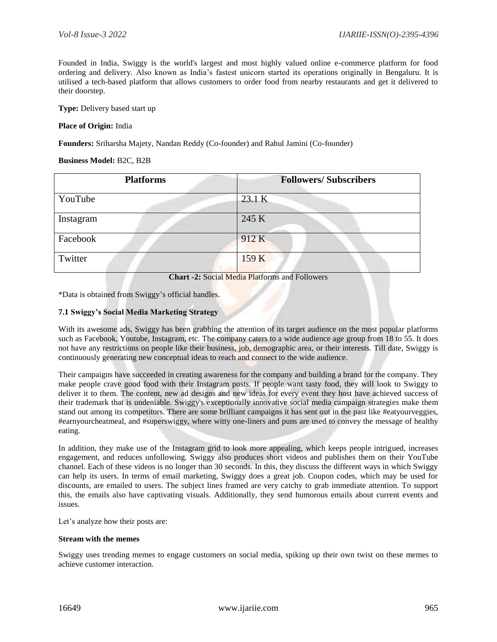Founded in India, Swiggy is the world's largest and most highly valued online e-commerce platform for food ordering and delivery. Also known as India's fastest unicorn started its operations originally in Bengaluru. It is utilised a tech-based platform that allows customers to order food from nearby restaurants and get it delivered to their doorstep.

**Type:** Delivery based start up

#### **Place of Origin:** India

**Founders:** Sriharsha Majety, Nandan Reddy (Co-founder) and Rahul Jamini (Co-founder)

#### **Business Model:** B2C, B2B

|           | <b>Platforms</b> | <b>Followers/Subscribers</b> |  |
|-----------|------------------|------------------------------|--|
| YouTube   |                  | 23.1 K                       |  |
| Instagram |                  | 245 K                        |  |
| Facebook  |                  | 912K                         |  |
| Twitter   |                  | 159 K                        |  |

**Chart -2:** Social Media Platforms and Followers

\*Data is obtained from Swiggy's official handles.

#### **7.1 Swiggy's Social Media Marketing Strategy**

With its awesome ads, Swiggy has been grabbing the attention of its target audience on the most popular platforms such as Facebook, Youtube, Instagram, etc. The company caters to a wide audience age group from 18 to 55. It does not have any restrictions on people like their business, job, demographic area, or their interests. Till date, Swiggy is continuously generating new conceptual ideas to reach and connect to the wide audience.

Their campaigns have succeeded in creating awareness for the company and building a brand for the company. They make people crave good food with their Instagram posts. If people want tasty food, they will look to Swiggy to deliver it to them. The content, new ad designs and new ideas for every event they host have achieved success of their trademark that is undeniable. Swiggy's exceptionally innovative social media campaign strategies make them stand out among its competitors. There are some brilliant campaigns it has sent out in the past like #eatyourveggies, #earnyourcheatmeal, and #superswiggy, where witty one-liners and puns are used to convey the message of healthy eating.

In addition, they make use of the Instagram grid to look more appealing, which keeps people intrigued, increases engagement, and reduces unfollowing. Swiggy also produces short videos and publishes them on their YouTube channel. Each of these videos is no longer than 30 seconds. In this, they discuss the different ways in which Swiggy can help its users. In terms of email marketing, Swiggy does a great job. Coupon codes, which may be used for discounts, are emailed to users. The subject lines framed are very catchy to grab immediate attention. To support this, the emails also have captivating visuals. Additionally, they send humorous emails about current events and issues.

Let's analyze how their posts are:

#### **Stream with the memes**

Swiggy uses trending memes to engage customers on social media, spiking up their own twist on these memes to achieve customer interaction.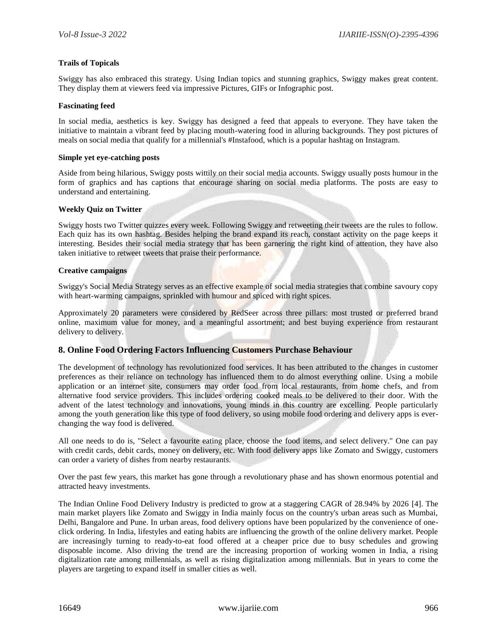#### **Trails of Topicals**

Swiggy has also embraced this strategy. Using Indian topics and stunning graphics, Swiggy makes great content. They display them at viewers feed via impressive Pictures, GIFs or Infographic post.

#### **Fascinating feed**

In social media, aesthetics is key. Swiggy has designed a feed that appeals to everyone. They have taken the initiative to maintain a vibrant feed by placing mouth-watering food in alluring backgrounds. They post pictures of meals on social media that qualify for a millennial's #Instafood, which is a popular hashtag on Instagram.

#### **Simple yet eye-catching posts**

Aside from being hilarious, Swiggy posts wittily on their social media accounts. Swiggy usually posts humour in the form of graphics and has captions that encourage sharing on social media platforms. The posts are easy to understand and entertaining.

#### **Weekly Quiz on Twitter**

Swiggy hosts two Twitter quizzes every week. Following Swiggy and retweeting their tweets are the rules to follow. Each quiz has its own hashtag. Besides helping the brand expand its reach, constant activity on the page keeps it interesting. Besides their social media strategy that has been garnering the right kind of attention, they have also taken initiative to retweet tweets that praise their performance.

#### **Creative campaigns**

Swiggy's Social Media Strategy serves as an effective example of social media strategies that combine savoury copy with heart-warming campaigns, sprinkled with humour and spiced with right spices.

Approximately 20 parameters were considered by RedSeer across three pillars: most trusted or preferred brand online, maximum value for money, and a meaningful assortment; and best buying experience from restaurant delivery to delivery.

#### **8. Online Food Ordering Factors Influencing Customers Purchase Behaviour**

The development of technology has revolutionized food services. It has been attributed to the changes in customer preferences as their reliance on technology has influenced them to do almost everything online. Using a mobile application or an internet site, consumers may order food from local restaurants, from home chefs, and from alternative food service providers. This includes ordering cooked meals to be delivered to their door. With the advent of the latest technology and innovations, young minds in this country are excelling. People particularly among the youth generation like this type of food delivery, so using mobile food ordering and delivery apps is everchanging the way food is delivered.

All one needs to do is, "Select a favourite eating place, choose the food items, and select delivery." One can pay with credit cards, debit cards, money on delivery, etc. With food delivery apps like Zomato and Swiggy, customers can order a variety of dishes from nearby restaurants.

Over the past few years, this market has gone through a revolutionary phase and has shown enormous potential and attracted heavy investments.

The Indian Online Food Delivery Industry is predicted to grow at a staggering CAGR of 28.94% by 2026 [4]. The main market players like Zomato and Swiggy in India mainly focus on the country's urban areas such as Mumbai, Delhi, Bangalore and Pune. In urban areas, food delivery options have been popularized by the convenience of oneclick ordering. In India, lifestyles and eating habits are influencing the growth of the online delivery market. People are increasingly turning to ready-to-eat food offered at a cheaper price due to busy schedules and growing disposable income. Also driving the trend are the increasing proportion of working women in India, a rising digitalization rate among millennials, as well as rising digitalization among millennials. But in years to come the players are targeting to expand itself in smaller cities as well.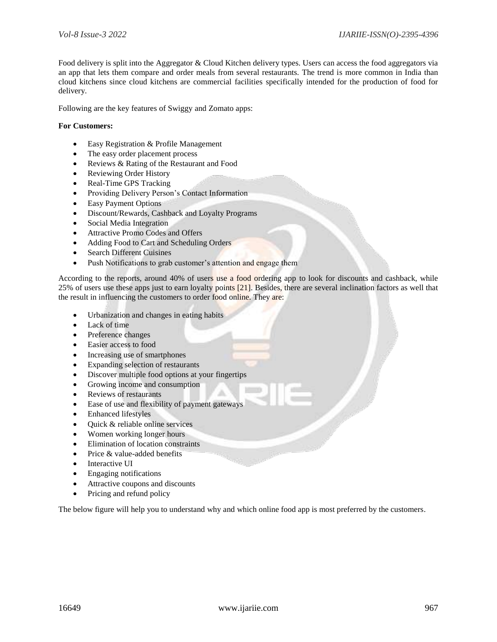Food delivery is split into the Aggregator & Cloud Kitchen delivery types. Users can access the food aggregators via an app that lets them compare and order meals from several restaurants. The trend is more common in India than cloud kitchens since cloud kitchens are commercial facilities specifically intended for the production of food for delivery.

Following are the key features of Swiggy and Zomato apps:

#### **For Customers:**

- Easy Registration & Profile Management
- The easy order placement process
- Reviews & Rating of the Restaurant and Food
- Reviewing Order History
- Real-Time GPS Tracking
- Providing Delivery Person's Contact Information
- Easy Payment Options
- Discount/Rewards, Cashback and Loyalty Programs
- Social Media Integration
- Attractive Promo Codes and Offers
- Adding Food to Cart and Scheduling Orders
- Search Different Cuisines
- Push Notifications to grab customer's attention and engage them

According to the reports, around 40% of users use a food ordering app to look for discounts and cashback, while 25% of users use these apps just to earn loyalty points [21]. Besides, there are several inclination factors as well that the result in influencing the customers to order food online. They are:

- Urbanization and changes in eating habits
- Lack of time
- Preference changes
- Easier access to food
- Increasing use of smartphones
- Expanding selection of restaurants
- Discover multiple food options at your fingertips
- Growing income and consumption
- Reviews of restaurants
- Ease of use and flexibility of payment gateways
- Enhanced lifestyles
- Quick & reliable online services
- Women working longer hours
- Elimination of location constraints
- Price & value-added benefits
- Interactive UI
- Engaging notifications
- Attractive coupons and discounts
- Pricing and refund policy

The below figure will help you to understand why and which online food app is most preferred by the customers.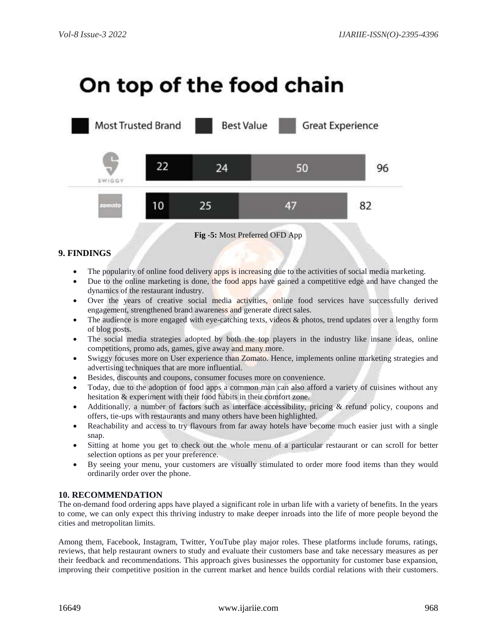# On top of the food chain



# **9. FINDINGS**

- The popularity of online food delivery apps is increasing due to the activities of social media marketing.
- Due to the online marketing is done, the food apps have gained a competitive edge and have changed the dynamics of the restaurant industry.
- Over the years of creative social media activities, online food services have successfully derived engagement, strengthened brand awareness and generate direct sales.
- The audience is more engaged with eye-catching texts, videos  $\&$  photos, trend updates over a lengthy form of blog posts.
- The social media strategies adopted by both the top players in the industry like insane ideas, online competitions, promo ads, games, give away and many more.
- Swiggy focuses more on User experience than Zomato. Hence, implements online marketing strategies and advertising techniques that are more influential.
- Besides, discounts and coupons, consumer focuses more on convenience.
- Today, due to the adoption of food apps a common man can also afford a variety of cuisines without any hesitation & experiment with their food habits in their comfort zone.
- Additionally, a number of factors such as interface accessibility, pricing & refund policy, coupons and offers, tie-ups with restaurants and many others have been highlighted.
- Reachability and access to try flavours from far away hotels have become much easier just with a single snap.
- Sitting at home you get to check out the whole menu of a particular restaurant or can scroll for better selection options as per your preference.
- By seeing your menu, your customers are visually stimulated to order more food items than they would ordinarily order over the phone.

# **10. RECOMMENDATION**

The on-demand food ordering apps have played a significant role in urban life with a variety of benefits. In the years to come, we can only expect this thriving industry to make deeper inroads into the life of more people beyond the cities and metropolitan limits.

Among them, Facebook, Instagram, Twitter, YouTube play major roles. These platforms include forums, ratings, reviews, that help restaurant owners to study and evaluate their customers base and take necessary measures as per their feedback and recommendations. This approach gives businesses the opportunity for customer base expansion, improving their competitive position in the current market and hence builds cordial relations with their customers.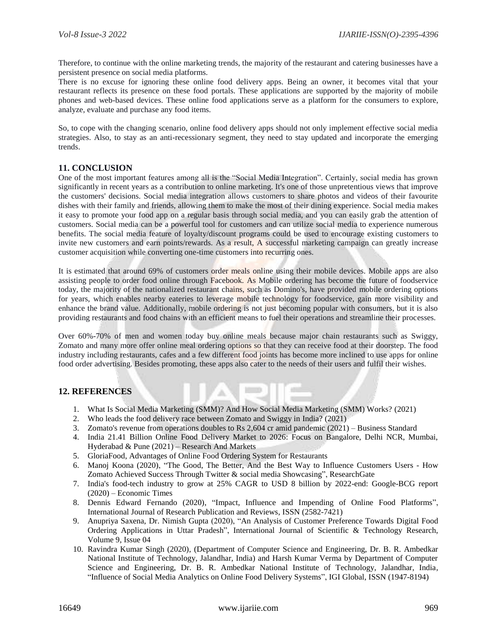Therefore, to continue with the online marketing trends, the majority of the restaurant and catering businesses have a persistent presence on social media platforms.

There is no excuse for ignoring these online food delivery apps. Being an owner, it becomes vital that your restaurant reflects its presence on these food portals. These applications are supported by the majority of mobile phones and web-based devices. These online food applications serve as a platform for the consumers to explore, analyze, evaluate and purchase any food items.

So, to cope with the changing scenario, online food delivery apps should not only implement effective social media strategies. Also, to stay as an anti-recessionary segment, they need to stay updated and incorporate the emerging trends.

# **11. CONCLUSION**

One of the most important features among all is the "Social Media Integration". Certainly, social media has grown significantly in recent years as a contribution to online marketing. It's one of those unpretentious views that improve the customers' decisions. Social media integration allows customers to share photos and videos of their favourite dishes with their family and friends, allowing them to make the most of their dining experience. Social media makes it easy to promote your food app on a regular basis through social media, and you can easily grab the attention of customers. Social media can be a powerful tool for customers and can utilize social media to experience numerous benefits. The social media feature of loyalty/discount programs could be used to encourage existing customers to invite new customers and earn points/rewards. As a result, A successful marketing campaign can greatly increase customer acquisition while converting one-time customers into recurring ones.

It is estimated that around 69% of customers order meals online using their mobile devices. Mobile apps are also assisting people to order food online through Facebook. As Mobile ordering has become the future of foodservice today, the majority of the nationalized restaurant chains, such as Domino's, have provided mobile ordering options for years, which enables nearby eateries to leverage mobile technology for foodservice, gain more visibility and enhance the brand value. Additionally, mobile ordering is not just becoming popular with consumers, but it is also providing restaurants and food chains with an efficient means to fuel their operations and streamline their processes.

Over 60%-70% of men and women today buy online meals because major chain restaurants such as Swiggy, Zomato and many more offer online meal ordering options so that they can receive food at their doorstep. The food industry including restaurants, cafes and a few different food joints has become more inclined to use apps for online food order advertising. Besides promoting, these apps also cater to the needs of their users and fulfil their wishes.

# **12. REFERENCES**

- 1. What Is Social Media Marketing (SMM)? And How Social Media Marketing (SMM) Works? (2021)
- 2. Who leads the food delivery race between Zomato and Swiggy in India? (2021)
- 3. Zomato's revenue from operations doubles to Rs 2,604 cr amid pandemic (2021) Business Standard
- 4. India 21.41 Billion Online Food Delivery Market to 2026: Focus on Bangalore, Delhi NCR, Mumbai, Hyderabad & Pune (2021) – Research And Markets
- 5. GloriaFood, Advantages of Online Food Ordering System for Restaurants
- 6. Manoj Koona (2020), "The Good, The Better, And the Best Way to Influence Customers Users How Zomato Achieved Success Through Twitter & social media Showcasing", ResearchGate
- 7. India's food-tech industry to grow at 25% CAGR to USD 8 billion by 2022-end: Google-BCG report (2020) – Economic Times
- 8. Dennis Edward Fernando (2020), "Impact, Influence and Impending of Online Food Platforms", International Journal of Research Publication and Reviews, ISSN (2582-7421)
- 9. Anupriya Saxena, Dr. Nimish Gupta (2020), "An Analysis of Customer Preference Towards Digital Food Ordering Applications in Uttar Pradesh", International Journal of Scientific & Technology Research, Volume 9, Issue 04
- 10. Ravindra Kumar Singh (2020), (Department of Computer Science and Engineering, Dr. B. R. Ambedkar National Institute of Technology, Jalandhar, India) and Harsh Kumar Verma by Department of Computer Science and Engineering, Dr. B. R. Ambedkar National Institute of Technology, Jalandhar, India, "Influence of Social Media Analytics on Online Food Delivery Systems", IGI Global, ISSN (1947-8194)